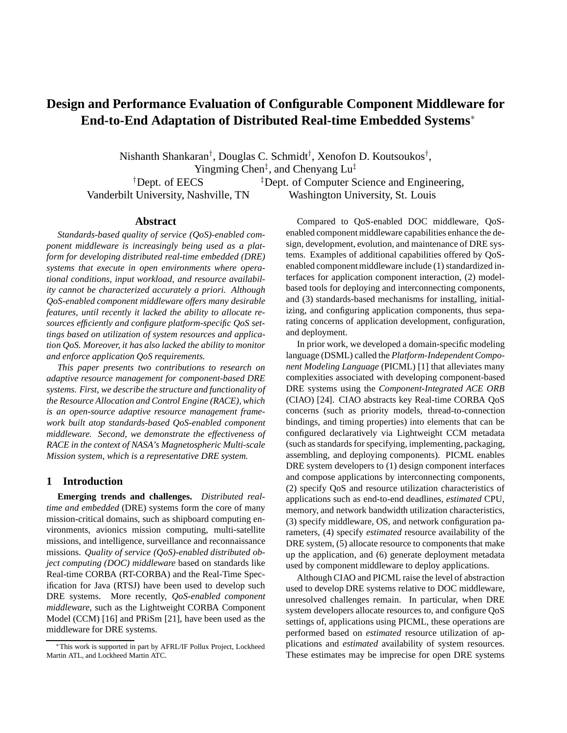# **Design and Performance Evaluation of Configurable Component Middleware for End-to-End Adaptation of Distributed Real-time Embedded Systems**<sup>∗</sup>

Nishanth Shankaran† , Douglas C. Schmidt† , Xenofon D. Koutsoukos† , Yingming Chen<sup>‡</sup>, and Chenyang Lu<sup>‡</sup> <sup> $\dagger$ </sup>Dept. of EECS  $\qquad \qquad$   $\qquad \qquad$   $\qquad \qquad$   $\qquad \qquad$   $\qquad$   $\qquad \qquad$   $\qquad \qquad$   $\qquad \qquad$   $\qquad \qquad$   $\qquad \qquad$   $\qquad$   $\qquad \qquad$   $\qquad \qquad$   $\qquad$   $\qquad$   $\qquad$   $\qquad$   $\qquad$   $\qquad$   $\qquad$   $\qquad$   $\qquad$   $\qquad$   $\qquad$   $\qquad$   $\qquad$   $\qquad$   $\qquad$  Vanderbilt University, Nashville, TN Washington University, St. Louis

## **Abstract**

*Standards-based quality of service (QoS)-enabled component middleware is increasingly being used as a platform for developing distributed real-time embedded (DRE) systems that execute in open environments where operational conditions, input workload, and resource availability cannot be characterized accurately a priori. Although QoS-enabled component middleware offers many desirable features, until recently it lacked the ability to allocate resources efficiently and configure platform-specific QoS settings based on utilization of system resources and application QoS. Moreover, it has also lacked the ability to monitor and enforce application QoS requirements.*

*This paper presents two contributions to research on adaptive resource management for component-based DRE systems. First, we describe the structure and functionality of the Resource Allocation and Control Engine (RACE), which is an open-source adaptive resource management framework built atop standards-based QoS-enabled component middleware. Second, we demonstrate the effectiveness of RACE in the context of NASA's Magnetospheric Multi-scale Mission system, which is a representative DRE system.*

## **1 Introduction**

**Emerging trends and challenges.** *Distributed realtime and embedded* (DRE) systems form the core of many mission-critical domains, such as shipboard computing environments, avionics mission computing, multi-satellite missions, and intelligence, surveillance and reconnaissance missions. *Quality of service (QoS)-enabled distributed object computing (DOC) middleware* based on standards like Real-time CORBA (RT-CORBA) and the Real-Time Specification for Java (RTSJ) have been used to develop such DRE systems. More recently, *QoS-enabled component middleware*, such as the Lightweight CORBA Component Model (CCM) [16] and PRiSm [21], have been used as the middleware for DRE systems.

Compared to QoS-enabled DOC middleware, QoSenabled component middleware capabilities enhance the design, development, evolution, and maintenance of DRE systems. Examples of additional capabilities offered by QoSenabled component middleware include (1) standardized interfaces for application component interaction, (2) modelbased tools for deploying and interconnecting components, and (3) standards-based mechanisms for installing, initializing, and configuring application components, thus separating concerns of application development, configuration, and deployment.

In prior work, we developed a domain-specific modeling language (DSML) called the *Platform-Independent Component Modeling Language* (PICML) [1] that alleviates many complexities associated with developing component-based DRE systems using the *Component-Integrated ACE ORB* (CIAO) [24]. CIAO abstracts key Real-time CORBA QoS concerns (such as priority models, thread-to-connection bindings, and timing properties) into elements that can be configured declaratively via Lightweight CCM metadata (such as standards for specifying, implementing, packaging, assembling, and deploying components). PICML enables DRE system developers to (1) design component interfaces and compose applications by interconnecting components, (2) specify QoS and resource utilization characteristics of applications such as end-to-end deadlines, *estimated* CPU, memory, and network bandwidth utilization characteristics, (3) specify middleware, OS, and network configuration parameters, (4) specify *estimated* resource availability of the DRE system, (5) allocate resource to components that make up the application, and (6) generate deployment metadata used by component middleware to deploy applications.

Although CIAO and PICML raise the level of abstraction used to develop DRE systems relative to DOC middleware, unresolved challenges remain. In particular, when DRE system developers allocate resources to, and configure QoS settings of, applications using PICML, these operations are performed based on *estimated* resource utilization of applications and *estimated* availability of system resources. These estimates may be imprecise for open DRE systems

<sup>∗</sup>This work is supported in part by AFRL/IF Pollux Project, Lockheed Martin ATL, and Lockheed Martin ATC.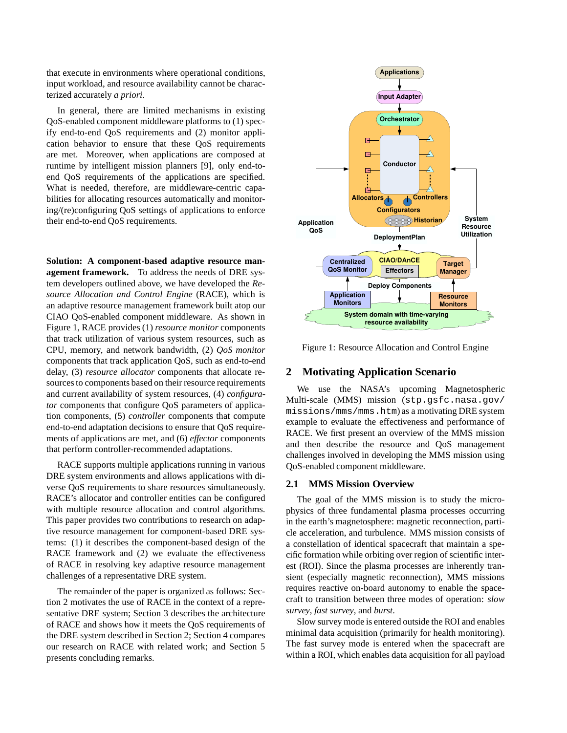that execute in environments where operational conditions, input workload, and resource availability cannot be characterized accurately *a priori*.

In general, there are limited mechanisms in existing QoS-enabled component middleware platforms to (1) specify end-to-end QoS requirements and (2) monitor application behavior to ensure that these QoS requirements are met. Moreover, when applications are composed at runtime by intelligent mission planners [9], only end-toend QoS requirements of the applications are specified. What is needed, therefore, are middleware-centric capabilities for allocating resources automatically and monitoring/(re)configuring QoS settings of applications to enforce their end-to-end QoS requirements.

**Solution: A component-based adaptive resource management framework.** To address the needs of DRE system developers outlined above, we have developed the *Resource Allocation and Control Engine* (RACE), which is an adaptive resource management framework built atop our CIAO QoS-enabled component middleware. As shown in Figure 1, RACE provides (1) *resource monitor* components that track utilization of various system resources, such as CPU, memory, and network bandwidth, (2) *QoS monitor* components that track application QoS, such as end-to-end delay, (3) *resource allocator* components that allocate resources to components based on their resource requirements and current availability of system resources, (4) *configurator* components that configure QoS parameters of application components, (5) *controller* components that compute end-to-end adaptation decisions to ensure that QoS requirements of applications are met, and (6) *effector* components that perform controller-recommended adaptations.

RACE supports multiple applications running in various DRE system environments and allows applications with diverse QoS requirements to share resources simultaneously. RACE's allocator and controller entities can be configured with multiple resource allocation and control algorithms. This paper provides two contributions to research on adaptive resource management for component-based DRE systems: (1) it describes the component-based design of the RACE framework and (2) we evaluate the effectiveness of RACE in resolving key adaptive resource management challenges of a representative DRE system.

The remainder of the paper is organized as follows: Section 2 motivates the use of RACE in the context of a representative DRE system; Section 3 describes the architecture of RACE and shows how it meets the QoS requirements of the DRE system described in Section 2; Section 4 compares our research on RACE with related work; and Section 5 presents concluding remarks.



Figure 1: Resource Allocation and Control Engine

## **2 Motivating Application Scenario**

We use the NASA's upcoming Magnetospheric Multi-scale (MMS) mission (stp.gsfc.nasa.gov/ missions/mms/mms.htm) as a motivating DRE system example to evaluate the effectiveness and performance of RACE. We first present an overview of the MMS mission and then describe the resource and QoS management challenges involved in developing the MMS mission using QoS-enabled component middleware.

## **2.1 MMS Mission Overview**

The goal of the MMS mission is to study the microphysics of three fundamental plasma processes occurring in the earth's magnetosphere: magnetic reconnection, particle acceleration, and turbulence. MMS mission consists of a constellation of identical spacecraft that maintain a specific formation while orbiting over region of scientific interest (ROI). Since the plasma processes are inherently transient (especially magnetic reconnection), MMS missions requires reactive on-board autonomy to enable the spacecraft to transition between three modes of operation: *slow survey*, *fast survey*, and *burst*.

Slow survey mode is entered outside the ROI and enables minimal data acquisition (primarily for health monitoring). The fast survey mode is entered when the spacecraft are within a ROI, which enables data acquisition for all payload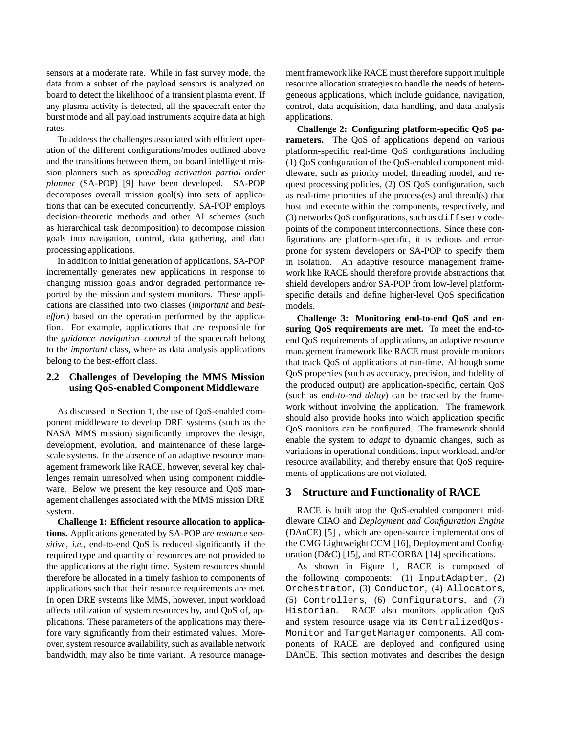sensors at a moderate rate. While in fast survey mode, the data from a subset of the payload sensors is analyzed on board to detect the likelihood of a transient plasma event. If any plasma activity is detected, all the spacecraft enter the burst mode and all payload instruments acquire data at high rates.

To address the challenges associated with efficient operation of the different configurations/modes outlined above and the transitions between them, on board intelligent mission planners such as *spreading activation partial order planner* (SA-POP) [9] have been developed. SA-POP decomposes overall mission goal(s) into sets of applications that can be executed concurrently. SA-POP employs decision-theoretic methods and other AI schemes (such as hierarchical task decomposition) to decompose mission goals into navigation, control, data gathering, and data processing applications.

In addition to initial generation of applications, SA-POP incrementally generates new applications in response to changing mission goals and/or degraded performance reported by the mission and system monitors. These applications are classified into two classes (*important* and *besteffort*) based on the operation performed by the application. For example, applications that are responsible for the *guidance–navigation–control* of the spacecraft belong to the *important* class, where as data analysis applications belong to the best-effort class.

## **2.2 Challenges of Developing the MMS Mission using QoS-enabled Component Middleware**

As discussed in Section 1, the use of QoS-enabled component middleware to develop DRE systems (such as the NASA MMS mission) significantly improves the design, development, evolution, and maintenance of these largescale systems. In the absence of an adaptive resource management framework like RACE, however, several key challenges remain unresolved when using component middleware. Below we present the key resource and QoS management challenges associated with the MMS mission DRE system.

**Challenge 1: Efficient resource allocation to applications.** Applications generated by SA-POP are *resource sensitive*, *i.e.*, end-to-end QoS is reduced significantly if the required type and quantity of resources are not provided to the applications at the right time. System resources should therefore be allocated in a timely fashion to components of applications such that their resource requirements are met. In open DRE systems like MMS, however, input workload affects utilization of system resources by, and QoS of, applications. These parameters of the applications may therefore vary significantly from their estimated values. Moreover, system resource availability, such as available network bandwidth, may also be time variant. A resource management framework like RACE must therefore support multiple resource allocation strategies to handle the needs of heterogeneous applications, which include guidance, navigation, control, data acquisition, data handling, and data analysis applications.

**Challenge 2: Configuring platform-specific QoS parameters.** The QoS of applications depend on various platform-specific real-time QoS configurations including (1) QoS configuration of the QoS-enabled component middleware, such as priority model, threading model, and request processing policies, (2) OS QoS configuration, such as real-time priorities of the process(es) and thread(s) that host and execute within the components, respectively, and (3) networks QoS configurations, such as diffserv codepoints of the component interconnections. Since these configurations are platform-specific, it is tedious and errorprone for system developers or SA-POP to specify them in isolation. An adaptive resource management framework like RACE should therefore provide abstractions that shield developers and/or SA-POP from low-level platformspecific details and define higher-level QoS specification models.

**Challenge 3: Monitoring end-to-end QoS and ensuring QoS requirements are met.** To meet the end-toend QoS requirements of applications, an adaptive resource management framework like RACE must provide monitors that track QoS of applications at run-time. Although some QoS properties (such as accuracy, precision, and fidelity of the produced output) are application-specific, certain QoS (such as *end-to-end delay*) can be tracked by the framework without involving the application. The framework should also provide hooks into which application specific QoS monitors can be configured. The framework should enable the system to *adapt* to dynamic changes, such as variations in operational conditions, input workload, and/or resource availability, and thereby ensure that QoS requirements of applications are not violated.

## **3 Structure and Functionality of RACE**

RACE is built atop the QoS-enabled component middleware CIAO and *Deployment and Configuration Engine* (DAnCE) [5] , which are open-source implementations of the OMG Lightweight CCM [16], Deployment and Configuration (D&C) [15], and RT-CORBA [14] specifications.

As shown in Figure 1, RACE is composed of the following components: (1) InputAdapter, (2) Orchestrator, (3) Conductor, (4) Allocators, (5) Controllers, (6) Configurators, and (7) Historian. RACE also monitors application QoS and system resource usage via its CentralizedQos-Monitor and TargetManager components. All components of RACE are deployed and configured using DAnCE. This section motivates and describes the design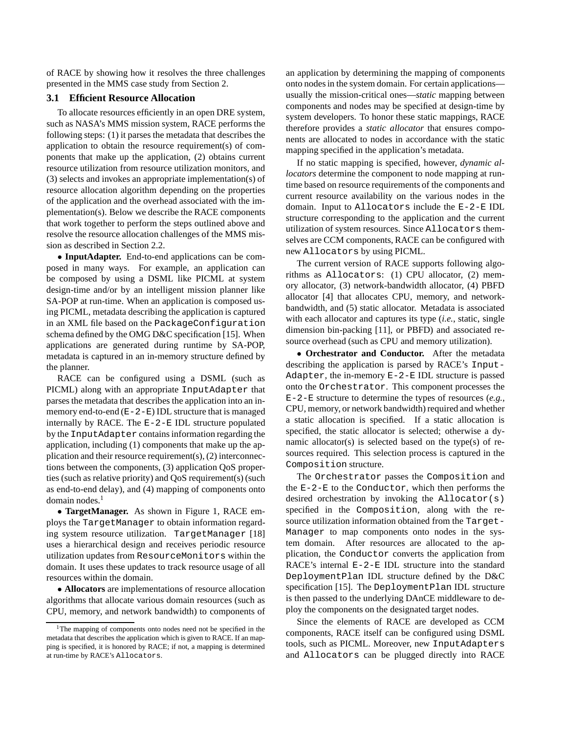of RACE by showing how it resolves the three challenges presented in the MMS case study from Section 2.

#### **3.1 Efficient Resource Allocation**

To allocate resources efficiently in an open DRE system, such as NASA's MMS mission system, RACE performs the following steps: (1) it parses the metadata that describes the application to obtain the resource requirement(s) of components that make up the application, (2) obtains current resource utilization from resource utilization monitors, and (3) selects and invokes an appropriate implementation(s) of resource allocation algorithm depending on the properties of the application and the overhead associated with the implementation(s). Below we describe the RACE components that work together to perform the steps outlined above and resolve the resource allocation challenges of the MMS mission as described in Section 2.2.

• **InputAdapter.** End-to-end applications can be composed in many ways. For example, an application can be composed by using a DSML like PICML at system design-time and/or by an intelligent mission planner like SA-POP at run-time. When an application is composed using PICML, metadata describing the application is captured in an XML file based on the PackageConfiguration schema defined by the OMG D&C specification [15]. When applications are generated during runtime by SA-POP, metadata is captured in an in-memory structure defined by the planner.

RACE can be configured using a DSML (such as PICML) along with an appropriate InputAdapter that parses the metadata that describes the application into an inmemory end-to-end  $(E-2-E)$  IDL structure that is managed internally by RACE. The E-2-E IDL structure populated by the InputAdapter contains information regarding the application, including (1) components that make up the application and their resource requirement(s), (2) interconnections between the components, (3) application QoS properties (such as relative priority) and QoS requirement(s) (such as end-to-end delay), and (4) mapping of components onto domain nodes.<sup>1</sup>

• **TargetManager.** As shown in Figure 1, RACE employs the TargetManager to obtain information regarding system resource utilization. TargetManager [18] uses a hierarchical design and receives periodic resource utilization updates from ResourceMonitors within the domain. It uses these updates to track resource usage of all resources within the domain.

• **Allocators** are implementations of resource allocation algorithms that allocate various domain resources (such as CPU, memory, and network bandwidth) to components of an application by determining the mapping of components onto nodes in the system domain. For certain applications usually the mission-critical ones—*static* mapping between components and nodes may be specified at design-time by system developers. To honor these static mappings, RACE therefore provides a *static allocator* that ensures components are allocated to nodes in accordance with the static mapping specified in the application's metadata.

If no static mapping is specified, however, *dynamic allocators* determine the component to node mapping at runtime based on resource requirements of the components and current resource availability on the various nodes in the domain. Input to Allocators include the E-2-E IDL structure corresponding to the application and the current utilization of system resources. Since Allocators themselves are CCM components, RACE can be configured with new Allocators by using PICML.

The current version of RACE supports following algorithms as Allocators: (1) CPU allocator, (2) memory allocator, (3) network-bandwidth allocator, (4) PBFD allocator [4] that allocates CPU, memory, and networkbandwidth, and (5) static allocator. Metadata is associated with each allocator and captures its type (*i.e.*, static, single dimension bin-packing [11], or PBFD) and associated resource overhead (such as CPU and memory utilization).

• **Orchestrator and Conductor.** After the metadata describing the application is parsed by RACE's Input-Adapter, the in-memory  $E - 2 - E$  IDL structure is passed onto the Orchestrator. This component processes the E-2-E structure to determine the types of resources (*e.g.*, CPU, memory, or network bandwidth) required and whether a static allocation is specified. If a static allocation is specified, the static allocator is selected; otherwise a dynamic allocator(s) is selected based on the type(s) of resources required. This selection process is captured in the Composition structure.

The Orchestrator passes the Composition and the  $E - 2 - E$  to the Conductor, which then performs the desired orchestration by invoking the Allocator(s) specified in the Composition, along with the resource utilization information obtained from the Target-Manager to map components onto nodes in the system domain. After resources are allocated to the application, the Conductor converts the application from RACE's internal  $E - 2-E$  IDL structure into the standard DeploymentPlan IDL structure defined by the D&C specification [15]. The DeploymentPlan IDL structure is then passed to the underlying DAnCE middleware to deploy the components on the designated target nodes.

Since the elements of RACE are developed as CCM components, RACE itself can be configured using DSML tools, such as PICML. Moreover, new InputAdapters and Allocators can be plugged directly into RACE

<sup>1</sup>The mapping of components onto nodes need not be specified in the metadata that describes the application which is given to RACE. If an mapping is specified, it is honored by RACE; if not, a mapping is determined at run-time by RACE's Allocators.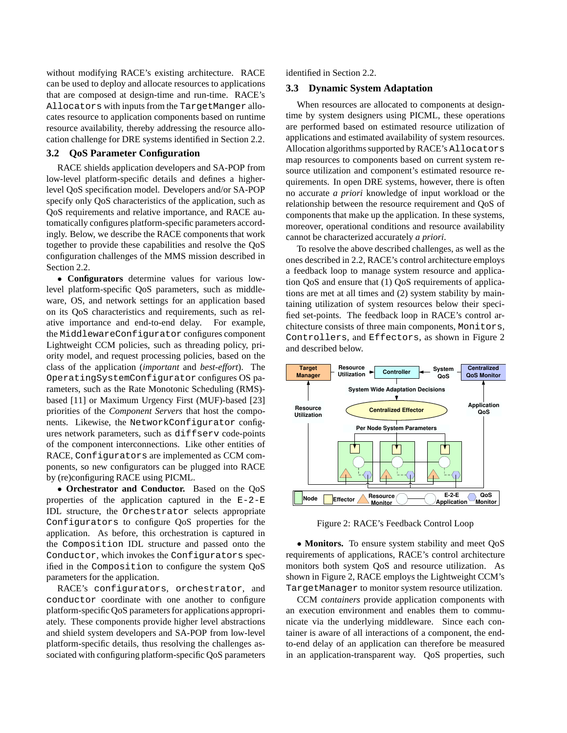without modifying RACE's existing architecture. RACE can be used to deploy and allocate resources to applications that are composed at design-time and run-time. RACE's Allocators with inputs from the TargetManger allocates resource to application components based on runtime resource availability, thereby addressing the resource allocation challenge for DRE systems identified in Section 2.2.

## **3.2 QoS Parameter Configuration**

RACE shields application developers and SA-POP from low-level platform-specific details and defines a higherlevel QoS specification model. Developers and/or SA-POP specify only QoS characteristics of the application, such as QoS requirements and relative importance, and RACE automatically configures platform-specific parameters accordingly. Below, we describe the RACE components that work together to provide these capabilities and resolve the QoS configuration challenges of the MMS mission described in Section 2.2.

• **Configurators** determine values for various lowlevel platform-specific QoS parameters, such as middleware, OS, and network settings for an application based on its QoS characteristics and requirements, such as relative importance and end-to-end delay. For example, the MiddlewareConfigurator configures component Lightweight CCM policies, such as threading policy, priority model, and request processing policies, based on the class of the application (*important* and *best-effort*). The OperatingSystemConfigurator configures OS parameters, such as the Rate Monotonic Scheduling (RMS) based [11] or Maximum Urgency First (MUF)-based [23] priorities of the *Component Servers* that host the components. Likewise, the NetworkConfigurator configures network parameters, such as diffserv code-points of the component interconnections. Like other entities of RACE, Configurators are implemented as CCM components, so new configurators can be plugged into RACE by (re)configuring RACE using PICML.

• **Orchestrator and Conductor.** Based on the QoS properties of the application captured in the  $E - 2 - E$ IDL structure, the Orchestrator selects appropriate Configurators to configure QoS properties for the application. As before, this orchestration is captured in the Composition IDL structure and passed onto the Conductor, which invokes the Configurators specified in the Composition to configure the system QoS parameters for the application.

RACE's configurators, orchestrator, and conductor coordinate with one another to configure platform-specific QoS parameters for applications appropriately. These components provide higher level abstractions and shield system developers and SA-POP from low-level platform-specific details, thus resolving the challenges associated with configuring platform-specific QoS parameters identified in Section 2.2.

#### **3.3 Dynamic System Adaptation**

When resources are allocated to components at designtime by system designers using PICML, these operations are performed based on estimated resource utilization of applications and estimated availability of system resources. Allocation algorithms supported by RACE's Allocators map resources to components based on current system resource utilization and component's estimated resource requirements. In open DRE systems, however, there is often no accurate *a priori* knowledge of input workload or the relationship between the resource requirement and QoS of components that make up the application. In these systems, moreover, operational conditions and resource availability cannot be characterized accurately *a priori*.

To resolve the above described challenges, as well as the ones described in 2.2, RACE's control architecture employs a feedback loop to manage system resource and application QoS and ensure that (1) QoS requirements of applications are met at all times and (2) system stability by maintaining utilization of system resources below their specified set-points. The feedback loop in RACE's control architecture consists of three main components, Monitors, Controllers, and Effectors, as shown in Figure 2 and described below.



Figure 2: RACE's Feedback Control Loop

• **Monitors.** To ensure system stability and meet QoS requirements of applications, RACE's control architecture monitors both system QoS and resource utilization. As shown in Figure 2, RACE employs the Lightweight CCM's TargetManager to monitor system resource utilization.

CCM *containers* provide application components with an execution environment and enables them to communicate via the underlying middleware. Since each container is aware of all interactions of a component, the endto-end delay of an application can therefore be measured in an application-transparent way. QoS properties, such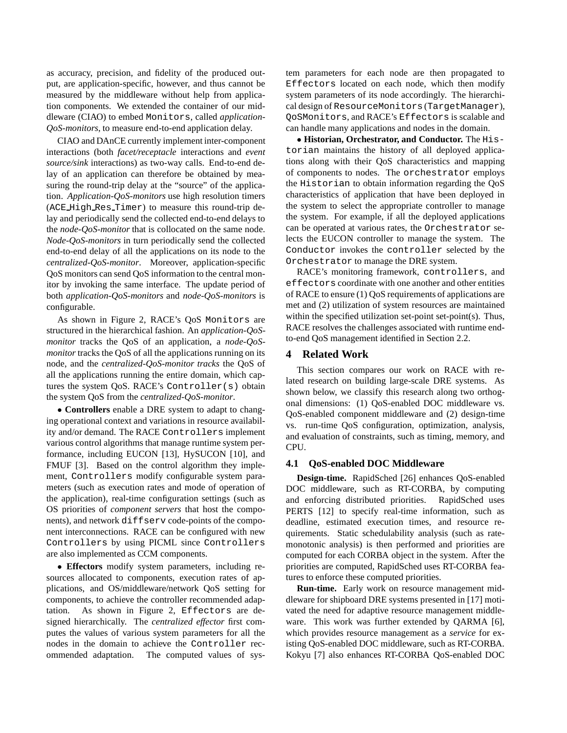as accuracy, precision, and fidelity of the produced output, are application-specific, however, and thus cannot be measured by the middleware without help from application components. We extended the container of our middleware (CIAO) to embed Monitors, called *application-QoS-monitors*, to measure end-to-end application delay.

CIAO and DAnCE currently implement inter-component interactions (both *facet/receptacle* interactions and *event source/sink* interactions) as two-way calls. End-to-end delay of an application can therefore be obtained by measuring the round-trip delay at the "source" of the application. *Application-QoS-monitors* use high resolution timers (ACE High Res Timer) to measure this round-trip delay and periodically send the collected end-to-end delays to the *node-QoS-monitor* that is collocated on the same node. *Node-QoS-monitors* in turn periodically send the collected end-to-end delay of all the applications on its node to the *centralized-QoS-monitor*. Moreover, application-specific QoS monitors can send QoS information to the central monitor by invoking the same interface. The update period of both *application-QoS-monitors* and *node-QoS-monitors* is configurable.

As shown in Figure 2, RACE's QoS Monitors are structured in the hierarchical fashion. An *application-QoSmonitor* tracks the QoS of an application, a *node-QoSmonitor* tracks the QoS of all the applications running on its node, and the *centralized-QoS-monitor tracks* the QoS of all the applications running the entire domain, which captures the system QoS. RACE's Controller(s) obtain the system QoS from the *centralized-QoS-monitor*.

• **Controllers** enable a DRE system to adapt to changing operational context and variations in resource availability and/or demand. The RACE Controllers implement various control algorithms that manage runtime system performance, including EUCON [13], HySUCON [10], and FMUF [3]. Based on the control algorithm they implement, Controllers modify configurable system parameters (such as execution rates and mode of operation of the application), real-time configuration settings (such as OS priorities of *component servers* that host the components), and network diffserv code-points of the component interconnections. RACE can be configured with new Controllers by using PICML since Controllers are also implemented as CCM components.

• **Effectors** modify system parameters, including resources allocated to components, execution rates of applications, and OS/middleware/network QoS setting for components, to achieve the controller recommended adaptation. As shown in Figure 2, Effectors are designed hierarchically. The *centralized effector* first computes the values of various system parameters for all the nodes in the domain to achieve the Controller recommended adaptation. The computed values of system parameters for each node are then propagated to Effectors located on each node, which then modify system parameters of its node accordingly. The hierarchical design of ResourceMonitors (TargetManager), QoSMonitors, and RACE's Effectors is scalable and can handle many applications and nodes in the domain.

• **Historian, Orchestrator, and Conductor.** The Historian maintains the history of all deployed applications along with their QoS characteristics and mapping of components to nodes. The orchestrator employs the Historian to obtain information regarding the QoS characteristics of application that have been deployed in the system to select the appropriate controller to manage the system. For example, if all the deployed applications can be operated at various rates, the Orchestrator selects the EUCON controller to manage the system. The Conductor invokes the controller selected by the Orchestrator to manage the DRE system.

RACE's monitoring framework, controllers, and effectors coordinate with one another and other entities of RACE to ensure (1) QoS requirements of applications are met and (2) utilization of system resources are maintained within the specified utilization set-point set-point(s). Thus, RACE resolves the challenges associated with runtime endto-end QoS management identified in Section 2.2.

## **4 Related Work**

This section compares our work on RACE with related research on building large-scale DRE systems. As shown below, we classify this research along two orthogonal dimensions: (1) QoS-enabled DOC middleware vs. QoS-enabled component middleware and (2) design-time vs. run-time QoS configuration, optimization, analysis, and evaluation of constraints, such as timing, memory, and CPU.

#### **4.1 QoS-enabled DOC Middleware**

**Design-time.** RapidSched [26] enhances QoS-enabled DOC middleware, such as RT-CORBA, by computing and enforcing distributed priorities. RapidSched uses PERTS [12] to specify real-time information, such as deadline, estimated execution times, and resource requirements. Static schedulability analysis (such as ratemonotonic analysis) is then performed and priorities are computed for each CORBA object in the system. After the priorities are computed, RapidSched uses RT-CORBA features to enforce these computed priorities.

**Run-time.** Early work on resource management middleware for shipboard DRE systems presented in [17] motivated the need for adaptive resource management middleware. This work was further extended by QARMA [6], which provides resource management as a *service* for existing QoS-enabled DOC middleware, such as RT-CORBA. Kokyu [7] also enhances RT-CORBA QoS-enabled DOC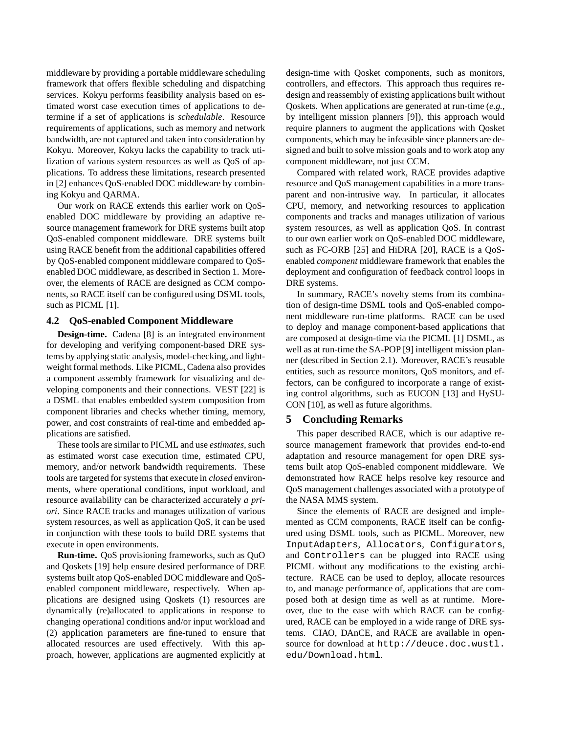middleware by providing a portable middleware scheduling framework that offers flexible scheduling and dispatching services. Kokyu performs feasibility analysis based on estimated worst case execution times of applications to determine if a set of applications is *schedulable*. Resource requirements of applications, such as memory and network bandwidth, are not captured and taken into consideration by Kokyu. Moreover, Kokyu lacks the capability to track utilization of various system resources as well as QoS of applications. To address these limitations, research presented in [2] enhances QoS-enabled DOC middleware by combining Kokyu and QARMA.

Our work on RACE extends this earlier work on QoSenabled DOC middleware by providing an adaptive resource management framework for DRE systems built atop QoS-enabled component middleware. DRE systems built using RACE benefit from the additional capabilities offered by QoS-enabled component middleware compared to QoSenabled DOC middleware, as described in Section 1. Moreover, the elements of RACE are designed as CCM components, so RACE itself can be configured using DSML tools, such as PICML [1].

## **4.2 QoS-enabled Component Middleware**

**Design-time.** Cadena [8] is an integrated environment for developing and verifying component-based DRE systems by applying static analysis, model-checking, and lightweight formal methods. Like PICML, Cadena also provides a component assembly framework for visualizing and developing components and their connections. VEST [22] is a DSML that enables embedded system composition from component libraries and checks whether timing, memory, power, and cost constraints of real-time and embedded applications are satisfied.

These tools are similar to PICML and use *estimates*, such as estimated worst case execution time, estimated CPU, memory, and/or network bandwidth requirements. These tools are targeted for systems that execute in *closed* environments, where operational conditions, input workload, and resource availability can be characterized accurately *a priori*. Since RACE tracks and manages utilization of various system resources, as well as application QoS, it can be used in conjunction with these tools to build DRE systems that execute in open environments.

**Run-time.** QoS provisioning frameworks, such as QuO and Qoskets [19] help ensure desired performance of DRE systems built atop QoS-enabled DOC middleware and QoSenabled component middleware, respectively. When applications are designed using Qoskets (1) resources are dynamically (re)allocated to applications in response to changing operational conditions and/or input workload and (2) application parameters are fine-tuned to ensure that allocated resources are used effectively. With this approach, however, applications are augmented explicitly at design-time with Qosket components, such as monitors, controllers, and effectors. This approach thus requires redesign and reassembly of existing applications built without Qoskets. When applications are generated at run-time (*e.g.*, by intelligent mission planners [9]), this approach would require planners to augment the applications with Qosket components, which may be infeasible since planners are designed and built to solve mission goals and to work atop any component middleware, not just CCM.

Compared with related work, RACE provides adaptive resource and QoS management capabilities in a more transparent and non-intrusive way. In particular, it allocates CPU, memory, and networking resources to application components and tracks and manages utilization of various system resources, as well as application QoS. In contrast to our own earlier work on QoS-enabled DOC middleware, such as FC-ORB [25] and HiDRA [20], RACE is a QoSenabled *component* middleware framework that enables the deployment and configuration of feedback control loops in DRE systems.

In summary, RACE's novelty stems from its combination of design-time DSML tools and QoS-enabled component middleware run-time platforms. RACE can be used to deploy and manage component-based applications that are composed at design-time via the PICML [1] DSML, as well as at run-time the SA-POP [9] intelligent mission planner (described in Section 2.1). Moreover, RACE's reusable entities, such as resource monitors, QoS monitors, and effectors, can be configured to incorporate a range of existing control algorithms, such as EUCON [13] and HySU-CON [10], as well as future algorithms.

### **5 Concluding Remarks**

This paper described RACE, which is our adaptive resource management framework that provides end-to-end adaptation and resource management for open DRE systems built atop QoS-enabled component middleware. We demonstrated how RACE helps resolve key resource and QoS management challenges associated with a prototype of the NASA MMS system.

Since the elements of RACE are designed and implemented as CCM components, RACE itself can be configured using DSML tools, such as PICML. Moreover, new InputAdapters, Allocators, Configurators, and Controllers can be plugged into RACE using PICML without any modifications to the existing architecture. RACE can be used to deploy, allocate resources to, and manage performance of, applications that are composed both at design time as well as at runtime. Moreover, due to the ease with which RACE can be configured, RACE can be employed in a wide range of DRE systems. CIAO, DAnCE, and RACE are available in opensource for download at http://deuce.doc.wustl. edu/Download.html.